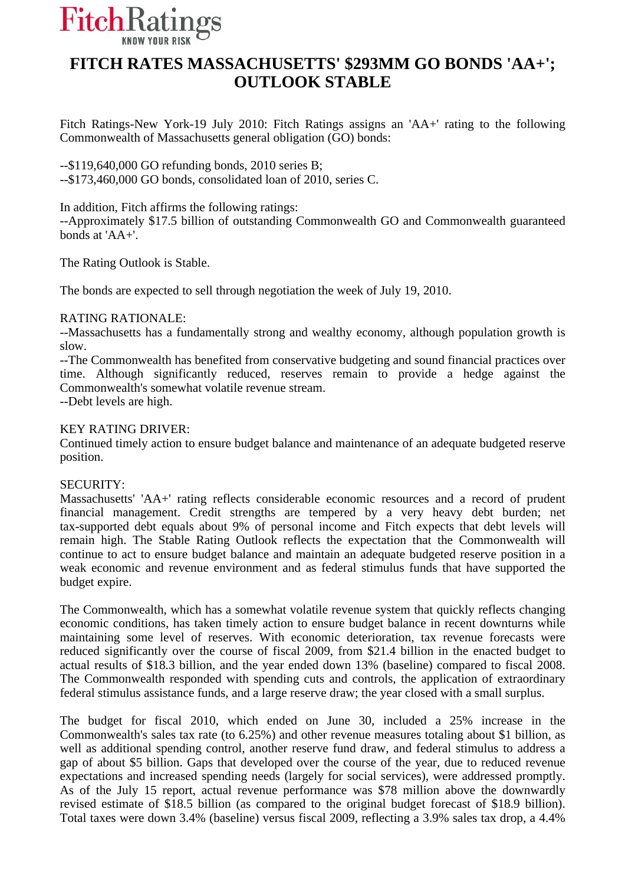

## **FITCH RATES MASSACHUSETTS' \$293MM GO BONDS 'AA+'; OUTLOOK STABLE**

Fitch Ratings-New York-19 July 2010: Fitch Ratings assigns an 'AA+' rating to the following Commonwealth of Massachusetts general obligation (GO) bonds:

--\$119,640,000 GO refunding bonds, 2010 series B; --\$173,460,000 GO bonds, consolidated loan of 2010, series C.

In addition, Fitch affirms the following ratings:

--Approximately \$17.5 billion of outstanding Commonwealth GO and Commonwealth guaranteed bonds at 'AA+'.

The Rating Outlook is Stable.

The bonds are expected to sell through negotiation the week of July 19, 2010.

## RATING RATIONALE:

--Massachusetts has a fundamentally strong and wealthy economy, although population growth is slow.

--The Commonwealth has benefited from conservative budgeting and sound financial practices over time. Although significantly reduced, reserves remain to provide a hedge against the Commonwealth's somewhat volatile revenue stream.

--Debt levels are high.

## KEY RATING DRIVER:

Continued timely action to ensure budget balance and maintenance of an adequate budgeted reserve position.

## SECURITY:

Massachusetts' 'AA+' rating reflects considerable economic resources and a record of prudent financial management. Credit strengths are tempered by a very heavy debt burden; net tax-supported debt equals about 9% of personal income and Fitch expects that debt levels will remain high. The Stable Rating Outlook reflects the expectation that the Commonwealth will continue to act to ensure budget balance and maintain an adequate budgeted reserve position in a weak economic and revenue environment and as federal stimulus funds that have supported the budget expire.

The Commonwealth, which has a somewhat volatile revenue system that quickly reflects changing economic conditions, has taken timely action to ensure budget balance in recent downturns while maintaining some level of reserves. With economic deterioration, tax revenue forecasts were reduced significantly over the course of fiscal 2009, from \$21.4 billion in the enacted budget to actual results of \$18.3 billion, and the year ended down 13% (baseline) compared to fiscal 2008. The Commonwealth responded with spending cuts and controls, the application of extraordinary federal stimulus assistance funds, and a large reserve draw; the year closed with a small surplus.

The budget for fiscal 2010, which ended on June 30, included a 25% increase in the Commonwealth's sales tax rate (to 6.25%) and other revenue measures totaling about \$1 billion, as well as additional spending control, another reserve fund draw, and federal stimulus to address a gap of about \$5 billion. Gaps that developed over the course of the year, due to reduced revenue expectations and increased spending needs (largely for social services), were addressed promptly. As of the July 15 report, actual revenue performance was \$78 million above the downwardly revised estimate of \$18.5 billion (as compared to the original budget forecast of \$18.9 billion). Total taxes were down 3.4% (baseline) versus fiscal 2009, reflecting a 3.9% sales tax drop, a 4.4%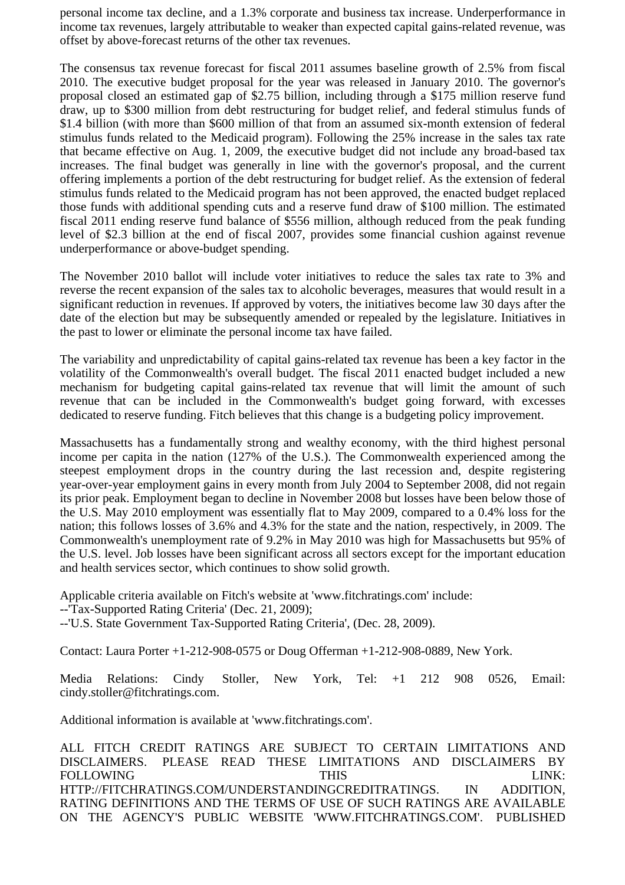personal income tax decline, and a 1.3% corporate and business tax increase. Underperformance in income tax revenues, largely attributable to weaker than expected capital gains-related revenue, was offset by above-forecast returns of the other tax revenues.

The consensus tax revenue forecast for fiscal 2011 assumes baseline growth of 2.5% from fiscal 2010. The executive budget proposal for the year was released in January 2010. The governor's proposal closed an estimated gap of \$2.75 billion, including through a \$175 million reserve fund draw, up to \$300 million from debt restructuring for budget relief, and federal stimulus funds of \$1.4 billion (with more than \$600 million of that from an assumed six-month extension of federal stimulus funds related to the Medicaid program). Following the 25% increase in the sales tax rate that became effective on Aug. 1, 2009, the executive budget did not include any broad-based tax increases. The final budget was generally in line with the governor's proposal, and the current offering implements a portion of the debt restructuring for budget relief. As the extension of federal stimulus funds related to the Medicaid program has not been approved, the enacted budget replaced those funds with additional spending cuts and a reserve fund draw of \$100 million. The estimated fiscal 2011 ending reserve fund balance of \$556 million, although reduced from the peak funding level of \$2.3 billion at the end of fiscal 2007, provides some financial cushion against revenue underperformance or above-budget spending.

The November 2010 ballot will include voter initiatives to reduce the sales tax rate to 3% and reverse the recent expansion of the sales tax to alcoholic beverages, measures that would result in a significant reduction in revenues. If approved by voters, the initiatives become law 30 days after the date of the election but may be subsequently amended or repealed by the legislature. Initiatives in the past to lower or eliminate the personal income tax have failed.

The variability and unpredictability of capital gains-related tax revenue has been a key factor in the volatility of the Commonwealth's overall budget. The fiscal 2011 enacted budget included a new mechanism for budgeting capital gains-related tax revenue that will limit the amount of such revenue that can be included in the Commonwealth's budget going forward, with excesses dedicated to reserve funding. Fitch believes that this change is a budgeting policy improvement.

Massachusetts has a fundamentally strong and wealthy economy, with the third highest personal income per capita in the nation (127% of the U.S.). The Commonwealth experienced among the steepest employment drops in the country during the last recession and, despite registering year-over-year employment gains in every month from July 2004 to September 2008, did not regain its prior peak. Employment began to decline in November 2008 but losses have been below those of the U.S. May 2010 employment was essentially flat to May 2009, compared to a 0.4% loss for the nation; this follows losses of 3.6% and 4.3% for the state and the nation, respectively, in 2009. The Commonwealth's unemployment rate of 9.2% in May 2010 was high for Massachusetts but 95% of the U.S. level. Job losses have been significant across all sectors except for the important education and health services sector, which continues to show solid growth.

Applicable criteria available on Fitch's website at 'www.fitchratings.com' include: --'Tax-Supported Rating Criteria' (Dec. 21, 2009); --'U.S. State Government Tax-Supported Rating Criteria', (Dec. 28, 2009).

Contact: Laura Porter +1-212-908-0575 or Doug Offerman +1-212-908-0889, New York.

Media Relations: Cindy Stoller, New York, Tel: +1 212 908 0526, Email: cindy.stoller@fitchratings.com.

Additional information is available at 'www.fitchratings.com'.

ALL FITCH CREDIT RATINGS ARE SUBJECT TO CERTAIN LIMITATIONS AND DISCLAIMERS. PLEASE READ THESE LIMITATIONS AND DISCLAIMERS BY FOLLOWING THIS THIS EINK: HTTP://FITCHRATINGS.COM/UNDERSTANDINGCREDITRATINGS. IN ADDITION, RATING DEFINITIONS AND THE TERMS OF USE OF SUCH RATINGS ARE AVAILABLE ON THE AGENCY'S PUBLIC WEBSITE 'WWW.FITCHRATINGS.COM'. PUBLISHED